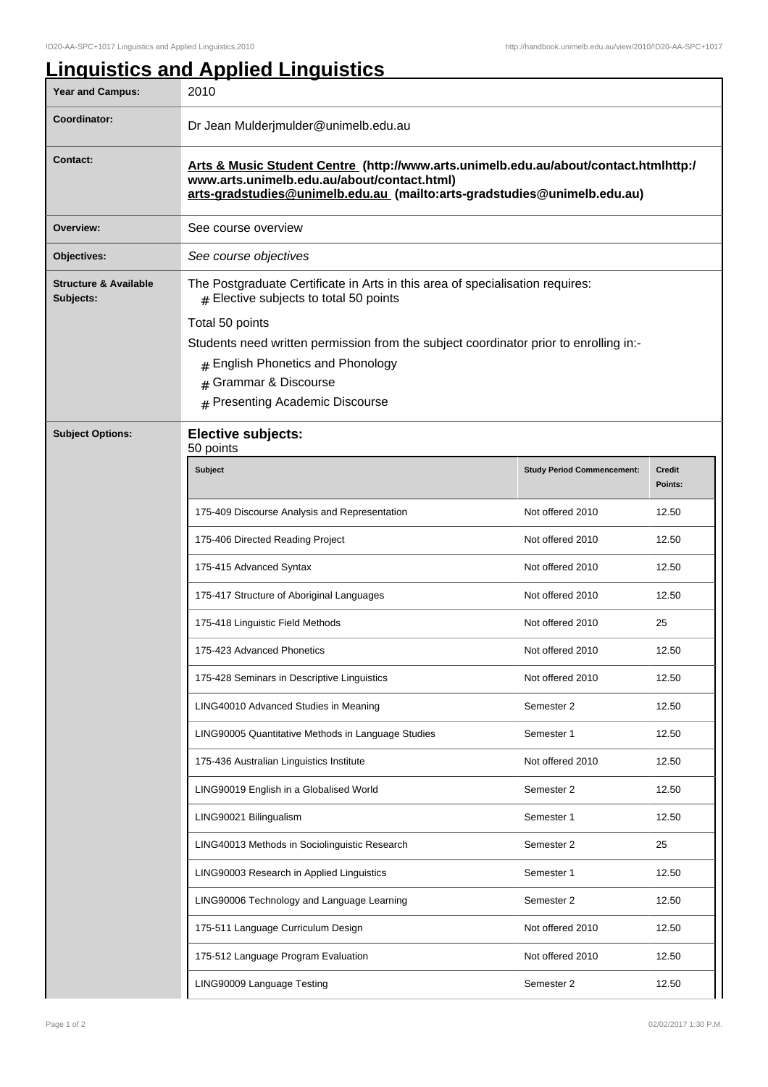## **Linguistics and Applied Linguistics**

| Year and Campus:                              | 2010                                                                                                                                                                                                            |                                   |                          |  |
|-----------------------------------------------|-----------------------------------------------------------------------------------------------------------------------------------------------------------------------------------------------------------------|-----------------------------------|--------------------------|--|
| Coordinator:                                  | Dr Jean Mulderjmulder@unimelb.edu.au                                                                                                                                                                            |                                   |                          |  |
| <b>Contact:</b>                               | Arts & Music Student Centre (http://www.arts.unimelb.edu.au/about/contact.htmlhttp:/<br>www.arts.unimelb.edu.au/about/contact.html)<br>arts-gradstudies@unimelb.edu.au (mailto:arts-gradstudies@unimelb.edu.au) |                                   |                          |  |
| Overview:                                     | See course overview                                                                                                                                                                                             |                                   |                          |  |
| Objectives:                                   | See course objectives                                                                                                                                                                                           |                                   |                          |  |
| <b>Structure &amp; Available</b><br>Subjects: | The Postgraduate Certificate in Arts in this area of specialisation requires:<br>$#$ Elective subjects to total 50 points                                                                                       |                                   |                          |  |
|                                               | Total 50 points                                                                                                                                                                                                 |                                   |                          |  |
|                                               | Students need written permission from the subject coordinator prior to enrolling in:-                                                                                                                           |                                   |                          |  |
|                                               | # English Phonetics and Phonology<br>Grammar & Discourse<br>#                                                                                                                                                   |                                   |                          |  |
|                                               |                                                                                                                                                                                                                 |                                   |                          |  |
|                                               | <b>Presenting Academic Discourse</b><br>#                                                                                                                                                                       |                                   |                          |  |
| <b>Subject Options:</b>                       | <b>Elective subjects:</b><br>50 points                                                                                                                                                                          |                                   |                          |  |
|                                               | <b>Subject</b>                                                                                                                                                                                                  | <b>Study Period Commencement:</b> | <b>Credit</b><br>Points: |  |
|                                               | 175-409 Discourse Analysis and Representation                                                                                                                                                                   | Not offered 2010                  | 12.50                    |  |
|                                               | 175-406 Directed Reading Project                                                                                                                                                                                | Not offered 2010                  | 12.50                    |  |
|                                               | 175-415 Advanced Syntax                                                                                                                                                                                         | Not offered 2010                  | 12.50                    |  |
|                                               | 175-417 Structure of Aboriginal Languages                                                                                                                                                                       | Not offered 2010                  | 12.50                    |  |
|                                               | 175-418 Linguistic Field Methods                                                                                                                                                                                | Not offered 2010                  | 25                       |  |
|                                               | 175-423 Advanced Phonetics                                                                                                                                                                                      | Not offered 2010                  | 12.50                    |  |
|                                               | 175-428 Seminars in Descriptive Linguistics                                                                                                                                                                     | Not offered 2010                  | 12.50                    |  |
|                                               | LING40010 Advanced Studies in Meaning                                                                                                                                                                           | Semester 2                        | 12.50                    |  |
|                                               | LING90005 Quantitative Methods in Language Studies                                                                                                                                                              | Semester 1                        | 12.50                    |  |
|                                               | 175-436 Australian Linguistics Institute                                                                                                                                                                        | Not offered 2010                  | 12.50                    |  |
|                                               | LING90019 English in a Globalised World                                                                                                                                                                         | Semester 2                        | 12.50                    |  |
|                                               | LING90021 Bilingualism                                                                                                                                                                                          | Semester 1                        | 12.50                    |  |
|                                               | LING40013 Methods in Sociolinguistic Research                                                                                                                                                                   | Semester 2                        | 25                       |  |
|                                               | LING90003 Research in Applied Linguistics                                                                                                                                                                       | Semester 1                        | 12.50                    |  |
|                                               | LING90006 Technology and Language Learning                                                                                                                                                                      | Semester 2                        | 12.50                    |  |
|                                               | 175-511 Language Curriculum Design                                                                                                                                                                              | Not offered 2010                  | 12.50                    |  |
|                                               | 175-512 Language Program Evaluation                                                                                                                                                                             | Not offered 2010                  | 12.50                    |  |
|                                               | LING90009 Language Testing                                                                                                                                                                                      | Semester 2                        | 12.50                    |  |